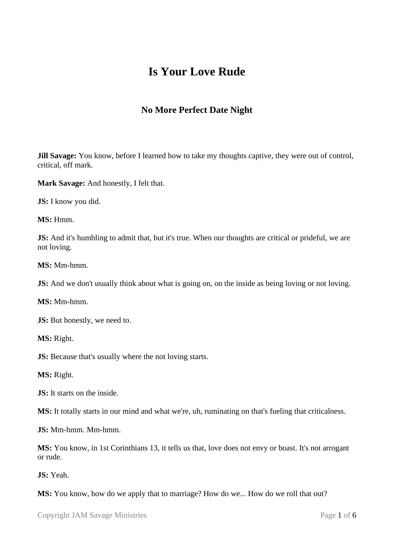# **Is Your Love Rude**

## **No More Perfect Date Night**

**Jill Savage:** You know, before I learned how to take my thoughts captive, they were out of control, critical, off mark.

**Mark Savage:** And honestly, I felt that.

**JS:** I know you did.

**MS:** Hmm.

**JS:** And it's humbling to admit that, but it's true. When our thoughts are critical or prideful, we are not loving.

**MS:** Mm-hmm.

**JS:** And we don't usually think about what is going on, on the inside as being loving or not loving.

**MS:** Mm-hmm.

**JS:** But honestly, we need to.

**MS:** Right.

**JS:** Because that's usually where the not loving starts.

**MS:** Right.

**JS:** It starts on the inside.

**MS:** It totally starts in our mind and what we're, uh, ruminating on that's fueling that criticalness.

**JS:** Mm-hmm. Mm-hmm.

**MS:** You know, in 1st Corinthians 13, it tells us that, love does not envy or boast. It's not arrogant or rude.

**JS:** Yeah.

**MS:** You know, how do we apply that to marriage? How do we... How do we roll that out?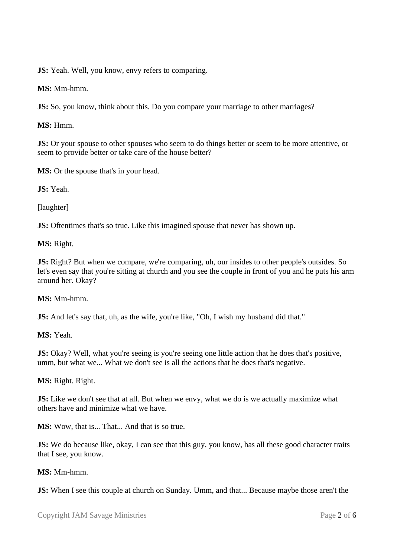**JS:** Yeah. Well, you know, envy refers to comparing.

**MS:** Mm-hmm.

**JS:** So, you know, think about this. Do you compare your marriage to other marriages?

**MS:** Hmm.

**JS:** Or your spouse to other spouses who seem to do things better or seem to be more attentive, or seem to provide better or take care of the house better?

**MS:** Or the spouse that's in your head.

**JS:** Yeah.

[laughter]

**JS:** Oftentimes that's so true. Like this imagined spouse that never has shown up.

**MS:** Right.

**JS:** Right? But when we compare, we're comparing, uh, our insides to other people's outsides. So let's even say that you're sitting at church and you see the couple in front of you and he puts his arm around her. Okay?

### **MS:** Mm-hmm.

**JS:** And let's say that, uh, as the wife, you're like, "Oh, I wish my husband did that."

**MS:** Yeah.

**JS:** Okay? Well, what you're seeing is you're seeing one little action that he does that's positive, umm, but what we... What we don't see is all the actions that he does that's negative.

### **MS:** Right. Right.

**JS:** Like we don't see that at all. But when we envy, what we do is we actually maximize what others have and minimize what we have.

**MS:** Wow, that is... That... And that is so true.

**JS:** We do because like, okay, I can see that this guy, you know, has all these good character traits that I see, you know.

### **MS:** Mm-hmm.

**JS:** When I see this couple at church on Sunday. Umm, and that... Because maybe those aren't the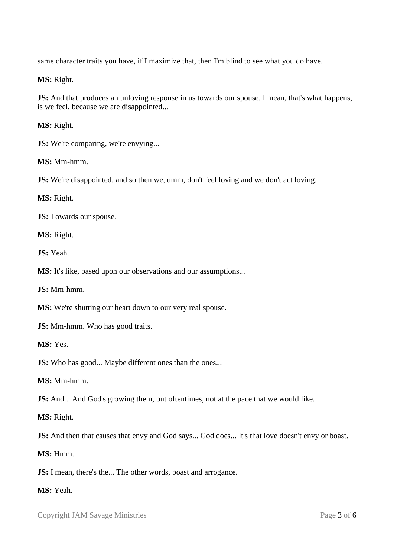same character traits you have, if I maximize that, then I'm blind to see what you do have.

**MS:** Right.

**JS:** And that produces an unloving response in us towards our spouse. I mean, that's what happens, is we feel, because we are disappointed...

**MS:** Right.

**JS:** We're comparing, we're envying...

**MS:** Mm-hmm.

**JS:** We're disappointed, and so then we, umm, don't feel loving and we don't act loving.

**MS:** Right.

**JS:** Towards our spouse.

**MS:** Right.

**JS:** Yeah.

**MS:** It's like, based upon our observations and our assumptions...

**JS:** Mm-hmm.

**MS:** We're shutting our heart down to our very real spouse.

**JS:** Mm-hmm. Who has good traits.

**MS:** Yes.

**JS:** Who has good... Maybe different ones than the ones...

**MS:** Mm-hmm.

**JS:** And... And God's growing them, but oftentimes, not at the pace that we would like.

**MS:** Right.

**JS:** And then that causes that envy and God says... God does... It's that love doesn't envy or boast.

**MS:** Hmm.

**JS:** I mean, there's the... The other words, boast and arrogance.

**MS:** Yeah.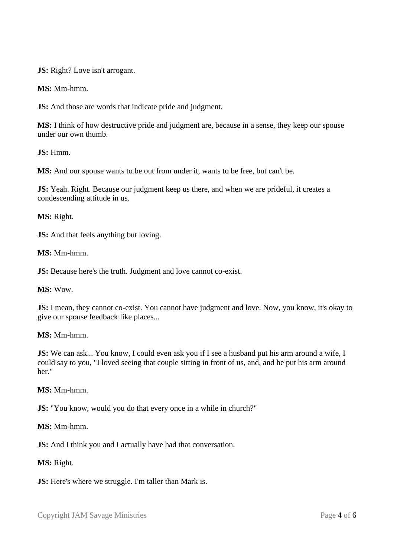**JS:** Right? Love isn't arrogant.

**MS:** Mm-hmm.

**JS:** And those are words that indicate pride and judgment.

**MS:** I think of how destructive pride and judgment are, because in a sense, they keep our spouse under our own thumb.

**JS:** Hmm.

**MS:** And our spouse wants to be out from under it, wants to be free, but can't be.

**JS:** Yeah. Right. Because our judgment keep us there, and when we are prideful, it creates a condescending attitude in us.

**MS:** Right.

**JS:** And that feels anything but loving.

**MS:** Mm-hmm.

**JS:** Because here's the truth. Judgment and love cannot co-exist.

**MS:** Wow.

**JS:** I mean, they cannot co-exist. You cannot have judgment and love. Now, you know, it's okay to give our spouse feedback like places...

### **MS:** Mm-hmm.

**JS:** We can ask... You know, I could even ask you if I see a husband put his arm around a wife, I could say to you, "I loved seeing that couple sitting in front of us, and, and he put his arm around her."

### **MS:** Mm-hmm.

**JS:** "You know, would you do that every once in a while in church?"

**MS:** Mm-hmm.

**JS:** And I think you and I actually have had that conversation.

**MS:** Right.

**JS:** Here's where we struggle. I'm taller than Mark is.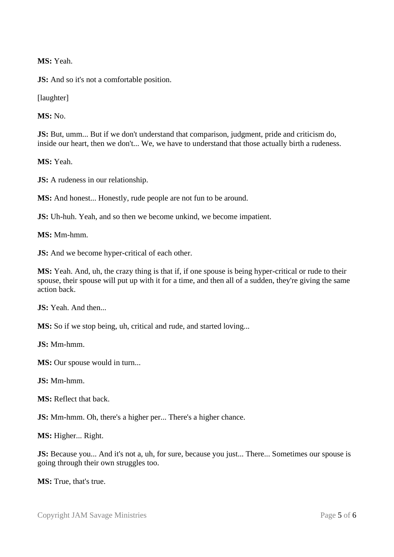**MS:** Yeah.

**JS:** And so it's not a comfortable position.

[laughter]

**MS:** No.

**JS:** But, umm... But if we don't understand that comparison, judgment, pride and criticism do, inside our heart, then we don't... We, we have to understand that those actually birth a rudeness.

**MS:** Yeah.

**JS:** A rudeness in our relationship.

**MS:** And honest... Honestly, rude people are not fun to be around.

**JS:** Uh-huh. Yeah, and so then we become unkind, we become impatient.

**MS:** Mm-hmm.

**JS:** And we become hyper-critical of each other.

**MS:** Yeah. And, uh, the crazy thing is that if, if one spouse is being hyper-critical or rude to their spouse, their spouse will put up with it for a time, and then all of a sudden, they're giving the same action back.

**JS:** Yeah. And then...

**MS:** So if we stop being, uh, critical and rude, and started loving...

**JS:** Mm-hmm.

**MS:** Our spouse would in turn...

**JS:** Mm-hmm.

**MS:** Reflect that back.

**JS:** Mm-hmm. Oh, there's a higher per... There's a higher chance.

**MS:** Higher... Right.

**JS:** Because you... And it's not a, uh, for sure, because you just... There... Sometimes our spouse is going through their own struggles too.

**MS:** True, that's true.